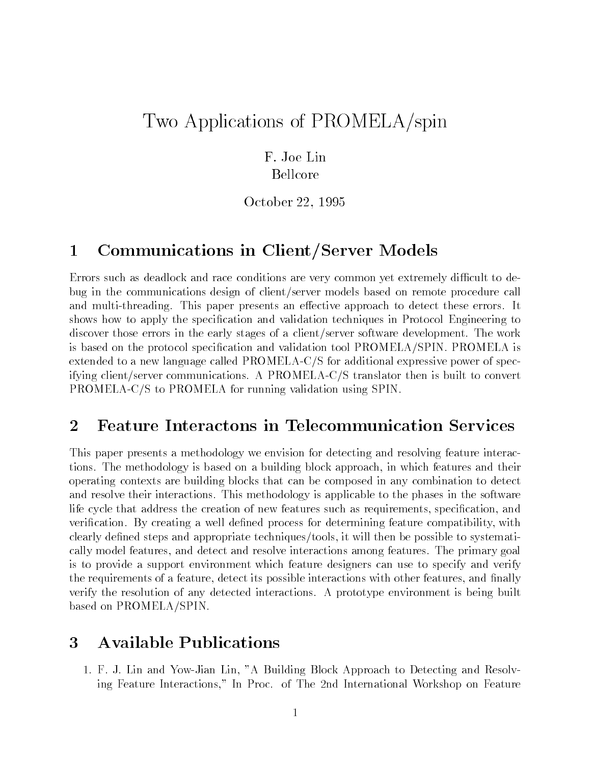## Two Applications of PROMELA/spin

F. Joe Lin Bellcore

October 22, 1995

## 1 Communications in Client/Server Models

Errors such as deadlock and race conditions are very common yet extremely difficult to debug in the communications design of client/server models based on remote procedure call and multi-threading. This paper presents an effective approach to detect these errors. It shows how to apply the specification and validation techniques in Protocol Engineering to discover those errors in the early stages of a client/server software development. The work is based on the protocol specification and validation tool PROMELA/SPIN. PROMELA is extended to a new language called PROMELA-C/S for additional expressive power of specifying client/server communications. A PROMELA-C/S translator then is built to convert PROMELA-C/S to PROMELA for running validation using SPIN.

## $\overline{2}$ 2 Feature Interactons in Telecommunication Services

This paper presents a methodology we envision for detecting and resolving feature interactions. The methodology is based on a building block approach, in which features and their operating contexts are building blocks that can be composed in any combination to detect and resolve their interactions. This methodology is applicable to the phases in the software life cycle that address the creation of new features such as requirements, specification, and verification. By creating a well defined process for determining feature compatibility, with clearly defined steps and appropriate techniques/tools, it will then be possible to systematically model features, and detect and resolve interactions among features. The primary goal is to provide a support environment which feature designers can use to specify and verify the requirements of a feature, detect its possible interactions with other features, and finally verify the resolution of any detected interactions. A prototype environment is being built based on PROMELA/SPIN.

## 3 Available Publications 3

1. F. J. Lin and Yow-Jian Lin, "A Building Block Approach to Detecting and Resolving Feature Interactions," In Proc. of The 2nd International Workshop on Feature